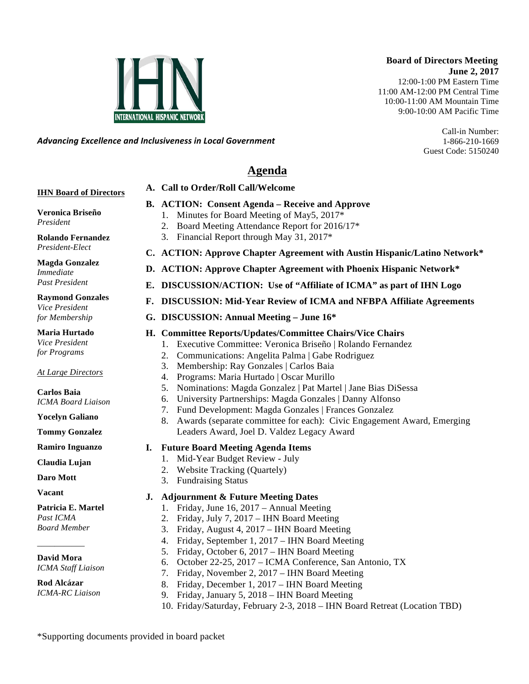### **Board of Directors Meeting June 2, 2017** 12:00-1:00 PM Eastern Time 11:00 AM-12:00 PM Central Time 10:00-11:00 AM Mountain Time 9:00-10:00 AM Pacific Time

Call-in Number: 1-866-210-1669 Guest Code: 5150240

*Advancing)Excellence)and)Inclusiveness)in)Local)Government*

# **Agenda**

## **IHN Board of Directors**

- **B. ACTION: Consent Agenda – Receive and Approve** 
	- 1. Minutes for Board Meeting of May5, 2017\*
	- 2. Board Meeting Attendance Report for 2016/17\*
	- 3. Financial Report through May 31, 2017\*

**A. Call to Order/Roll Call/Welcome** 

**Rolando Fernandez** *President-Elect*

**Veronica Briseño**

*President*

**Magda Gonzalez** *Immediate Past President*

**Raymond Gonzales** *Vice President for Membership*

**Maria Hurtado** *Vice President for Programs*

*At Large Directors*

**Carlos Baia** *ICMA Board Liaison*

**Yocelyn Galiano** 

**Tommy Gonzalez**

**Ramiro Inguanzo**

**Claudia Lujan**

**Daro Mott**

**Vacant**

**Patricia E. Martel** *Past ICMA Board Member*

**David Mora** *ICMA Staff Liaison*

\_\_\_\_\_\_\_\_\_\_\_

**Rod Alcázar** *ICMA-RC Liaison*

- **C. ACTION: Approve Chapter Agreement with Austin Hispanic/Latino Network\***
- **D. ACTION: Approve Chapter Agreement with Phoenix Hispanic Network\***
- **E. DISCUSSION/ACTION: Use of "Affiliate of ICMA" as part of IHN Logo**
- **F. DISCUSSION: Mid-Year Review of ICMA and NFBPA Affiliate Agreements**
- **G. DISCUSSION: Annual Meeting – June 16\***

## **H. Committee Reports/Updates/Committee Chairs/Vice Chairs**

- 1. Executive Committee: Veronica Briseño | Rolando Fernandez
- 2. Communications: Angelita Palma | Gabe Rodriguez
- 3. Membership: Ray Gonzales | Carlos Baia
- 4. Programs: Maria Hurtado | Oscar Murillo
- 5. Nominations: Magda Gonzalez | Pat Martel | Jane Bias DiSessa
- 6. University Partnerships: Magda Gonzales | Danny Alfonso
- 7. Fund Development: Magda Gonzales | Frances Gonzalez
- 8. Awards (separate committee for each): Civic Engagement Award, Emerging Leaders Award, Joel D. Valdez Legacy Award
- **I. Future Board Meeting Agenda Items**
	- 1. Mid-Year Budget Review July
	- 2. Website Tracking (Quartely)
	- 3. Fundraising Status

## **J. Adjournment & Future Meeting Dates**

- 1. Friday, June 16, 2017 Annual Meeting
- 2. Friday, July 7, 2017 IHN Board Meeting
- 3. Friday, August 4, 2017 IHN Board Meeting
- 4. Friday, September 1, 2017 IHN Board Meeting
- 5. Friday, October 6, 2017 IHN Board Meeting
- 6. October 22-25, 2017 ICMA Conference, San Antonio, TX
- 7. Friday, November 2, 2017 IHN Board Meeting
- 8. Friday, December 1, 2017 IHN Board Meeting
- 9. Friday, January 5, 2018 IHN Board Meeting
- 10. Friday/Saturday, February 2-3, 2018 IHN Board Retreat (Location TBD)

\*Supporting documents provided in board packet

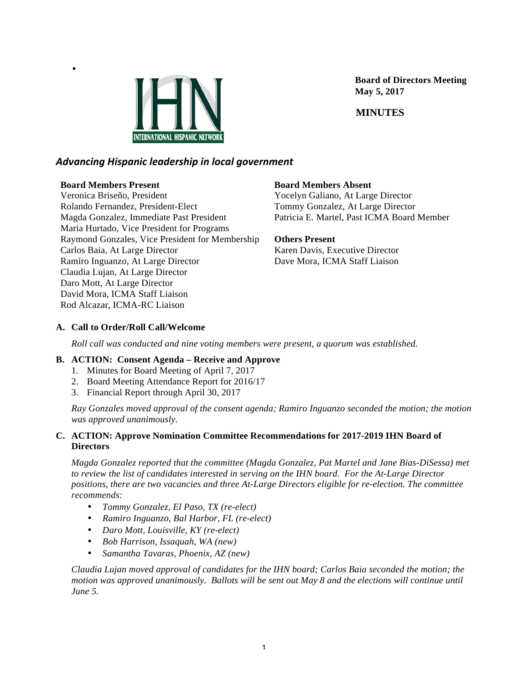

 **Board of Directors Meeting May 5, 2017**

 **MINUTES**

## *Advancing)Hispanic)leadership)in)local)government*

## **Board Members Present**

•

Veronica Briseño, President Rolando Fernandez, President-Elect Magda Gonzalez, Immediate Past President Maria Hurtado, Vice President for Programs Raymond Gonzales, Vice President for Membership Carlos Baia, At Large Director Ramiro Inguanzo, At Large Director Claudia Lujan, At Large Director Daro Mott, At Large Director David Mora, ICMA Staff Liaison Rod Alcazar, ICMA-RC Liaison

## **Board Members Absent**

Yocelyn Galiano, At Large Director Tommy Gonzalez, At Large Director Patricia E. Martel, Past ICMA Board Member

## **Others Present**

Karen Davis, Executive Director Dave Mora, ICMA Staff Liaison

## **A. Call to Order/Roll Call/Welcome**

*Roll call was conducted and nine voting members were present, a quorum was established.*

## **B. ACTION: Consent Agenda – Receive and Approve**

- 1. Minutes for Board Meeting of April 7, 2017
- 2. Board Meeting Attendance Report for 2016/17
- 3. Financial Report through April 30, 2017

*Ray Gonzales moved approval of the consent agenda; Ramiro Inguanzo seconded the motion; the motion was approved unanimously.*

## **C. ACTION: Approve Nomination Committee Recommendations for 2017-2019 IHN Board of Directors**

*Magda Gonzalez reported that the committee (Magda Gonzalez, Pat Martel and Jane Bias-DiSessa) met to review the list of candidates interested in serving on the IHN board. For the At-Large Director positions, there are two vacancies and three At-Large Directors eligible for re-election. The committee recommends:*

- *Tommy Gonzalez, El Paso, TX (re-elect)*
- *Ramiro Inguanzo, Bal Harbor, FL (re-elect)*
- *Daro Mott, Louisville, KY (re-elect)*
- *Bob Harrison, Issaquah, WA (new)*
- *Samantha Tavaras, Phoenix, AZ (new)*

*Claudia Lujan moved approval of candidates for the IHN board; Carlos Baia seconded the motion; the motion was approved unanimously. Ballots will be sent out May 8 and the elections will continue until June 5.*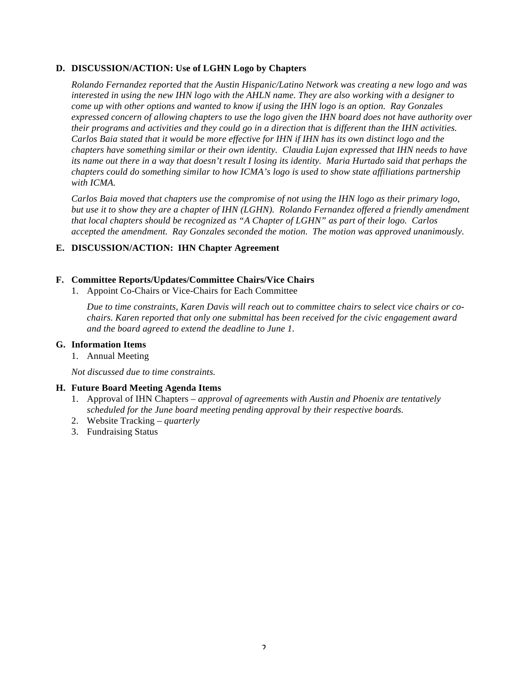### **D. DISCUSSION/ACTION: Use of LGHN Logo by Chapters**

*Rolando Fernandez reported that the Austin Hispanic/Latino Network was creating a new logo and was interested in using the new IHN logo with the AHLN name. They are also working with a designer to come up with other options and wanted to know if using the IHN logo is an option. Ray Gonzales expressed concern of allowing chapters to use the logo given the IHN board does not have authority over their programs and activities and they could go in a direction that is different than the IHN activities. Carlos Baia stated that it would be more effective for IHN if IHN has its own distinct logo and the chapters have something similar or their own identity. Claudia Lujan expressed that IHN needs to have its name out there in a way that doesn't result I losing its identity. Maria Hurtado said that perhaps the chapters could do something similar to how ICMA's logo is used to show state affiliations partnership with ICMA.*

*Carlos Baia moved that chapters use the compromise of not using the IHN logo as their primary logo, but use it to show they are a chapter of IHN (LGHN). Rolando Fernandez offered a friendly amendment that local chapters should be recognized as "A Chapter of LGHN" as part of their logo. Carlos accepted the amendment. Ray Gonzales seconded the motion. The motion was approved unanimously.*

### **E. DISCUSSION/ACTION: IHN Chapter Agreement**

### **F. Committee Reports/Updates/Committee Chairs/Vice Chairs**

1. Appoint Co-Chairs or Vice-Chairs for Each Committee

*Due to time constraints, Karen Davis will reach out to committee chairs to select vice chairs or cochairs. Karen reported that only one submittal has been received for the civic engagement award and the board agreed to extend the deadline to June 1.*

### **G. Information Items**

1. Annual Meeting

*Not discussed due to time constraints.*

### **H. Future Board Meeting Agenda Items**

- 1. Approval of IHN Chapters *– approval of agreements with Austin and Phoenix are tentatively scheduled for the June board meeting pending approval by their respective boards.*
- 2. Website Tracking *– quarterly*
- 3. Fundraising Status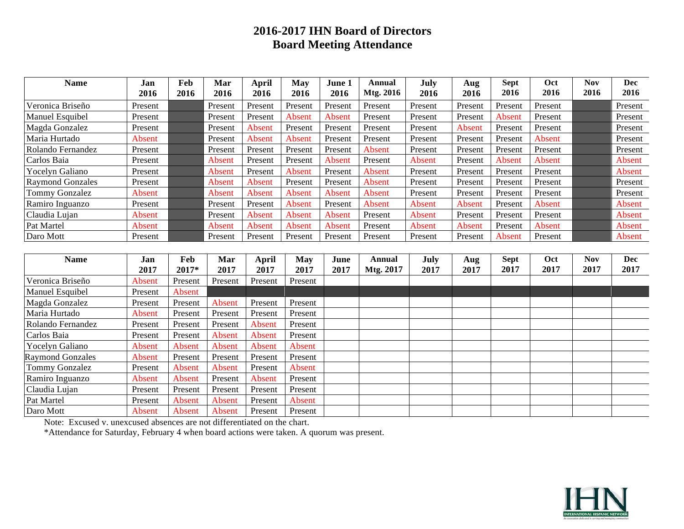# **2016-2017 IHN Board of Directors Board Meeting Attendance**

| <b>Name</b>             | Jan           | Feb     | Mar           | <b>April</b>  | <b>May</b> | June 1  | Annual        | July    | Aug           | <b>Sept</b> | Oct     | <b>Nov</b> | <b>Dec</b> |
|-------------------------|---------------|---------|---------------|---------------|------------|---------|---------------|---------|---------------|-------------|---------|------------|------------|
|                         | 2016          | 2016    | 2016          | 2016          | 2016       | 2016    | Mtg. 2016     | 2016    | 2016          | 2016        | 2016    | 2016       | 2016       |
| Veronica Briseño        | Present       |         | Present       | Present       | Present    | Present | Present       | Present | Present       | Present     | Present |            | Present    |
| Manuel Esquibel         | Present       |         | Present       | Present       | Absent     | Absent  | Present       | Present | Present       | Absent      | Present |            | Present    |
| Magda Gonzalez          | Present       |         | Present       | Absent        | Present    | Present | Present       | Present | Absent        | Present     | Present |            | Present    |
| Maria Hurtado           | Absent        |         | Present       | Absent        | Absent     | Present | Present       | Present | Present       | Present     | Absent  |            | Present    |
| Rolando Fernandez       | Present       |         | Present       | Present       | Present    | Present | Absent        | Present | Present       | Present     | Present |            | Present    |
| Carlos Baia             | Present       |         | Absent        | Present       | Present    | Absent  | Present       | Absent  | Present       | Absent      | Absent  |            | Absent     |
| Yocelyn Galiano         | Present       |         | Absent        | Present       | Absent     | Present | Absent        | Present | Present       | Present     | Present |            | Absent     |
| <b>Raymond Gonzales</b> | Present       |         | Absent        | Absent        | Present    | Present | Absent        | Present | Present       | Present     | Present |            | Present    |
| Tommy Gonzalez          | Absent        |         | Absent        | Absent        | Absent     | Absent  | Absent        | Present | Present       | Present     | Present |            | Present    |
| Ramiro Inguanzo         | Present       |         | Present       | Present       | Absent     | Present | Absent        | Absent  | Absent        | Present     | Absent  |            | Absent     |
| Claudia Lujan           | Absent        |         | Present       | <b>Absent</b> | Absent     | Absent  | Present       | Absent  | Present       | Present     | Present |            | Absent     |
| Pat Martel              | <b>Absent</b> |         | <b>Absent</b> | Absent        | Absent     | Absent  | Present       | Absent  | <b>Absent</b> | Present     | Absent  |            | Absent     |
| Daro Mott               | Present       |         | Present       | Present       | Present    | Present | Present       | Present | Present       | Absent      | Present |            | Absent     |
|                         |               |         |               |               |            |         |               |         |               |             |         |            |            |
| <b>Name</b>             | Jan           | Feb     | Mar           | <b>April</b>  | <b>May</b> | June    | <b>Annual</b> | July    | Aug           | <b>Sept</b> | Oct     | <b>Nov</b> | <b>Dec</b> |
|                         | 2017          | 2017*   | 2017          | 2017          | 2017       | 2017    | Mtg. 2017     | 2017    | 2017          | 2017        | 2017    | 2017       | 2017       |
| Veronica Briseño        | Absent        | Present | Present       | Present       | Present    |         |               |         |               |             |         |            |            |
| Manuel Esquibel         | Present       | Absent  |               |               |            |         |               |         |               |             |         |            |            |
| Magda Gonzalez          | Present       | Present | Absent        | Present       | Present    |         |               |         |               |             |         |            |            |
| Maria Hurtado           | <b>Absent</b> | Present | Present       | Present       | Present    |         |               |         |               |             |         |            |            |
| Rolando Fernandez       | Present       | Present | Present       | Absent        | Present    |         |               |         |               |             |         |            |            |
| Carlos Baia             | Present       | Present | Absent        | Absent        | Present    |         |               |         |               |             |         |            |            |
| Yocelyn Galiano         | <b>Absent</b> | Absent  | Absent        | Absent        | Absent     |         |               |         |               |             |         |            |            |
| <b>Raymond Gonzales</b> | Absent        | Present | Present       | Present       | Present    |         |               |         |               |             |         |            |            |
| <b>Tommy Gonzalez</b>   | Present       | Absent  | Absent        | Present       | Absent     |         |               |         |               |             |         |            |            |
| Ramiro Inguanzo         | Absent        | Absent  | Present       | Absent        | Present    |         |               |         |               |             |         |            |            |
| Claudia Lujan           | Present       | Present | Present       | Present       | Present    |         |               |         |               |             |         |            |            |
| Pat Martel              | Present       | Absent  | Absent        | Present       | Absent     |         |               |         |               |             |         |            |            |
| Daro Mott               | Absent        | Absent  | Absent        | Present       | Present    |         |               |         |               |             |         |            |            |

Note: Excused v. unexcused absences are not differentiated on the chart.

\*Attendance for Saturday, February 4 when board actions were taken. A quorum was present.

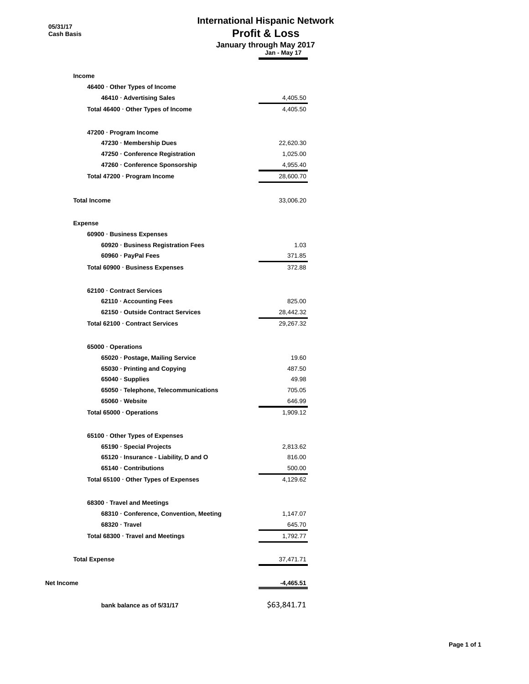**05/31/17 Cash Basis**

## **International Hispanic Network Profit & Loss**

 **January through May 2017 Jan - May 17**

| Income                                 |             |
|----------------------------------------|-------------|
| 46400 Other Types of Income            |             |
| 46410 · Advertising Sales              | 4,405.50    |
| Total 46400 · Other Types of Income    | 4,405.50    |
| 47200 · Program Income                 |             |
| 47230 Membership Dues                  | 22,620.30   |
| 47250 Conference Registration          | 1,025.00    |
| 47260 Conference Sponsorship           | 4,955.40    |
| Total 47200 · Program Income           | 28,600.70   |
| <b>Total Income</b>                    | 33,006.20   |
| <b>Expense</b>                         |             |
| 60900 · Business Expenses              |             |
| 60920 · Business Registration Fees     | 1.03        |
| 60960 · PayPal Fees                    | 371.85      |
| Total 60900 · Business Expenses        | 372.88      |
| 62100 · Contract Services              |             |
| 62110 Accounting Fees                  | 825.00      |
| 62150 Outside Contract Services        | 28,442.32   |
| Total 62100 · Contract Services        | 29,267.32   |
| 65000 · Operations                     |             |
| 65020 · Postage, Mailing Service       | 19.60       |
| 65030 · Printing and Copying           | 487.50      |
| 65040 Supplies                         | 49.98       |
| 65050 · Telephone, Telecommunications  | 705.05      |
| 65060 · Website                        | 646.99      |
| Total 65000 Operations                 | 1,909.12    |
| 65100 Other Types of Expenses          |             |
| 65190 · Special Projects               | 2,813.62    |
| 65120 · Insurance - Liability, D and O | 816.00      |
| 65140 · Contributions                  | 500.00      |
| Total 65100 · Other Types of Expenses  | 4,129.62    |
| 68300 · Travel and Meetings            |             |
| 68310 Conference, Convention, Meeting  | 1,147.07    |
| 68320 Travel                           | 645.70      |
| Total 68300 · Travel and Meetings      | 1,792.77    |
| <b>Total Expense</b>                   | 37,471.71   |
| Net Income                             | -4,465.51   |
| bank balance as of 5/31/17             | \$63,841.71 |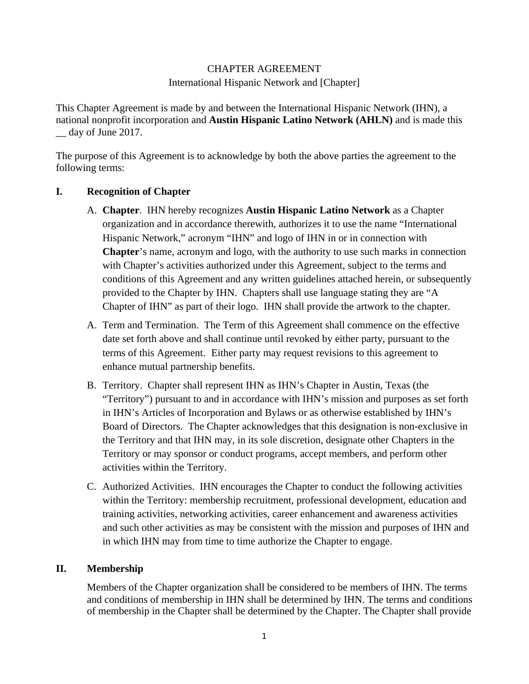## CHAPTER AGREEMENT

International Hispanic Network and [Chapter]

This Chapter Agreement is made by and between the International Hispanic Network (IHN), a national nonprofit incorporation and **Austin Hispanic Latino Network (AHLN)** and is made this \_\_ day of June 2017.

The purpose of this Agreement is to acknowledge by both the above parties the agreement to the following terms:

## **I. Recognition of Chapter**

- A. **Chapter**. IHN hereby recognizes **Austin Hispanic Latino Network** as a Chapter organization and in accordance therewith, authorizes it to use the name "International Hispanic Network," acronym "IHN" and logo of IHN in or in connection with **Chapter**'s name, acronym and logo, with the authority to use such marks in connection with Chapter's activities authorized under this Agreement, subject to the terms and conditions of this Agreement and any written guidelines attached herein, or subsequently provided to the Chapter by IHN.Chapters shall use language stating they are "A Chapter of IHN" as part of their logo. IHN shall provide the artwork to the chapter.
- A. Term and Termination. The Term of this Agreement shall commence on the effective date set forth above and shall continue until revoked by either party, pursuant to the terms of this Agreement. Either party may request revisions to this agreement to enhance mutual partnership benefits.
- B. Territory. Chapter shall represent IHN as IHN's Chapter in Austin, Texas (the "Territory") pursuant to and in accordance with IHN's mission and purposes as set forth in IHN's Articles of Incorporation and Bylaws or as otherwise established by IHN's Board of Directors. The Chapter acknowledges that this designation is non-exclusive in the Territory and that IHN may, in its sole discretion, designate other Chapters in the Territory or may sponsor or conduct programs, accept members, and perform other activities within the Territory.
- C. Authorized Activities. IHN encourages the Chapter to conduct the following activities within the Territory: membership recruitment, professional development, education and training activities, networking activities, career enhancement and awareness activities and such other activities as may be consistent with the mission and purposes of IHN and in which IHN may from time to time authorize the Chapter to engage.

## **II. Membership**

Members of the Chapter organization shall be considered to be members of IHN. The terms and conditions of membership in IHN shall be determined by IHN. The terms and conditions of membership in the Chapter shall be determined by the Chapter. The Chapter shall provide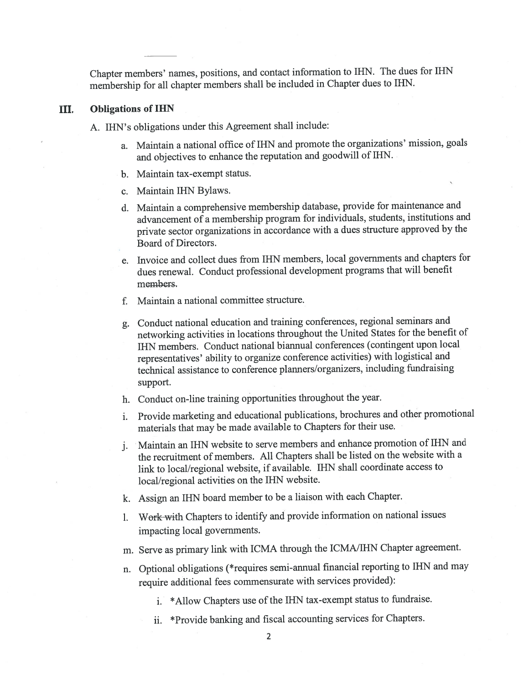Chapter members' names, positions, and contact information to IHN. The dues for IHN membership for all chapter members shall be included in Chapter dues to IHN.

#### III. **Obligations of IHN**

- A. IHN's obligations under this Agreement shall include:
	- a. Maintain a national office of IHN and promote the organizations' mission, goals and objectives to enhance the reputation and goodwill of IHN.
	- b. Maintain tax-exempt status.
	- c. Maintain IHN Bylaws.
	- d. Maintain a comprehensive membership database, provide for maintenance and advancement of a membership program for individuals, students, institutions and private sector organizations in accordance with a dues structure approved by the Board of Directors.
	- e. Invoice and collect dues from IHN members, local governments and chapters for dues renewal. Conduct professional development programs that will benefit members.
	- f. Maintain a national committee structure.
	- g. Conduct national education and training conferences, regional seminars and networking activities in locations throughout the United States for the benefit of IHN members. Conduct national biannual conferences (contingent upon local representatives' ability to organize conference activities) with logistical and technical assistance to conference planners/organizers, including fundraising support.
	- h. Conduct on-line training opportunities throughout the year.
	- i. Provide marketing and educational publications, brochures and other promotional materials that may be made available to Chapters for their use.
	- j. Maintain an IHN website to serve members and enhance promotion of IHN and the recruitment of members. All Chapters shall be listed on the website with a link to local/regional website, if available. IHN shall coordinate access to local/regional activities on the IHN website.
	- k. Assign an IHN board member to be a liaison with each Chapter.
	- 1. Work with Chapters to identify and provide information on national issues impacting local governments.
	- m. Serve as primary link with ICMA through the ICMA/IHN Chapter agreement.
	- n. Optional obligations (\*requires semi-annual financial reporting to IHN and may require additional fees commensurate with services provided):
		- i. \*Allow Chapters use of the IHN tax-exempt status to fundraise.
		- ii. \*Provide banking and fiscal accounting services for Chapters.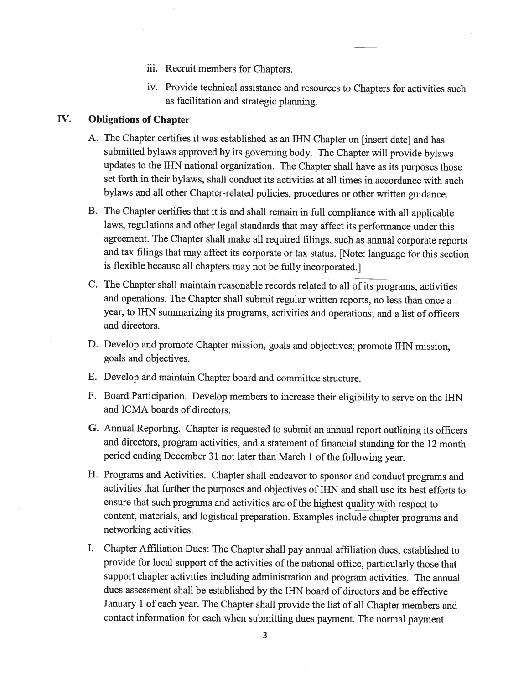- iii. Recruit members for Chapters.
- iv. Provide technical assistance and resources to Chapters for activities such as facilitation and strategic planning.

#### **Obligations of Chapter** IV.

- A. The Chapter certifies it was established as an IHN Chapter on [insert date] and has submitted bylaws approved by its governing body. The Chapter will provide bylaws updates to the IHN national organization. The Chapter shall have as its purposes those set forth in their bylaws, shall conduct its activities at all times in accordance with such bylaws and all other Chapter-related policies, procedures or other written guidance.
- B. The Chapter certifies that it is and shall remain in full compliance with all applicable laws, regulations and other legal standards that may affect its performance under this agreement. The Chapter shall make all required filings, such as annual corporate reports and tax filings that may affect its corporate or tax status. [Note: language for this section is flexible because all chapters may not be fully incorporated.]
- C. The Chapter shall maintain reasonable records related to all of its programs, activities and operations. The Chapter shall submit regular written reports, no less than once a year, to IHN summarizing its programs, activities and operations; and a list of officers and directors.
- D. Develop and promote Chapter mission, goals and objectives; promote IHN mission, goals and objectives.
- E. Develop and maintain Chapter board and committee structure.
- F. Board Participation. Develop members to increase their eligibility to serve on the IHN and ICMA boards of directors.
- G. Annual Reporting. Chapter is requested to submit an annual report outlining its officers and directors, program activities, and a statement of financial standing for the 12 month period ending December 31 not later than March 1 of the following year.
- H. Programs and Activities. Chapter shall endeavor to sponsor and conduct programs and activities that further the purposes and objectives of IHN and shall use its best efforts to ensure that such programs and activities are of the highest quality with respect to content, materials, and logistical preparation. Examples include chapter programs and networking activities.
- I. Chapter Affiliation Dues: The Chapter shall pay annual affiliation dues, established to provide for local support of the activities of the national office, particularly those that support chapter activities including administration and program activities. The annual dues assessment shall be established by the IHN board of directors and be effective January 1 of each year. The Chapter shall provide the list of all Chapter members and contact information for each when submitting dues payment. The normal payment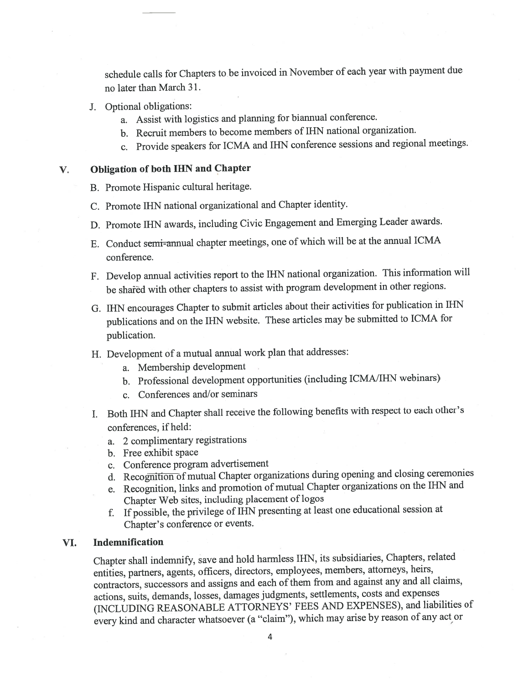schedule calls for Chapters to be invoiced in November of each year with payment due no later than March 31.

- J. Optional obligations:
	- a. Assist with logistics and planning for biannual conference.
	- b. Recruit members to become members of IHN national organization.
	- c. Provide speakers for ICMA and IHN conference sessions and regional meetings.

V.

## **Obligation of both IHN and Chapter**

- B. Promote Hispanic cultural heritage.
- C. Promote IHN national organizational and Chapter identity.
- D. Promote IHN awards, including Civic Engagement and Emerging Leader awards.
- E. Conduct semi-annual chapter meetings, one of which will be at the annual ICMA conference.
- F. Develop annual activities report to the IHN national organization. This information will be shared with other chapters to assist with program development in other regions.
- G. IHN encourages Chapter to submit articles about their activities for publication in IHN publications and on the IHN website. These articles may be submitted to ICMA for publication.
- H. Development of a mutual annual work plan that addresses:
	- a. Membership development
	- b. Professional development opportunities (including ICMA/IHN webinars)
	- c. Conferences and/or seminars
- I. Both IHN and Chapter shall receive the following benefits with respect to each other's conferences, if held:
	- a. 2 complimentary registrations
	- b. Free exhibit space
	- c. Conference program advertisement
	- d. Recognition of mutual Chapter organizations during opening and closing ceremonies
	- e. Recognition, links and promotion of mutual Chapter organizations on the IHN and Chapter Web sites, including placement of logos
	- f. If possible, the privilege of IHN presenting at least one educational session at Chapter's conference or events.

#### VI. Indemnification

Chapter shall indemnify, save and hold harmless IHN, its subsidiaries, Chapters, related entities, partners, agents, officers, directors, employees, members, attorneys, heirs, contractors, successors and assigns and each of them from and against any and all claims, actions, suits, demands, losses, damages judgments, settlements, costs and expenses (INCLUDING REASONABLE ATTORNEYS' FEES AND EXPENSES), and liabilities of every kind and character whatsoever (a "claim"), which may arise by reason of any act or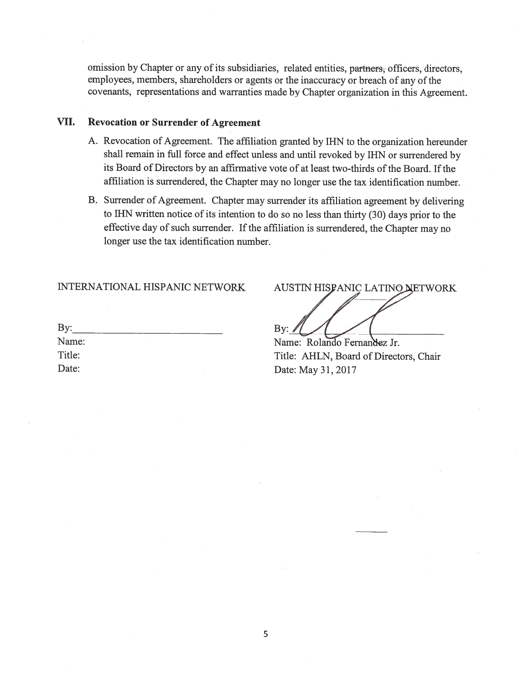omission by Chapter or any of its subsidiaries, related entities, partners, officers, directors, employees, members, shareholders or agents or the inaccuracy or breach of any of the covenants, representations and warranties made by Chapter organization in this Agreement.

#### VII. **Revocation or Surrender of Agreement**

- A. Revocation of Agreement. The affiliation granted by IHN to the organization hereunder shall remain in full force and effect unless and until revoked by IHN or surrendered by its Board of Directors by an affirmative vote of at least two-thirds of the Board. If the affiliation is surrendered, the Chapter may no longer use the tax identification number.
- B. Surrender of Agreement. Chapter may surrender its affiliation agreement by delivering to IHN written notice of its intention to do so no less than thirty (30) days prior to the effective day of such surrender. If the affiliation is surrendered, the Chapter may no longer use the tax identification number.

**INTERNATIONAL HISPANIC NETWORK** 

| By:    |    |  |  |
|--------|----|--|--|
| Name:  | 92 |  |  |
| Title: |    |  |  |
| Date:  |    |  |  |
|        |    |  |  |

AUSTIN HISPANIC LATINO NETWORK By:  $\angle$ Name: Rolando Fernandez Jr.

Title: AHLN, Board of Directors, Chair Date: May 31, 2017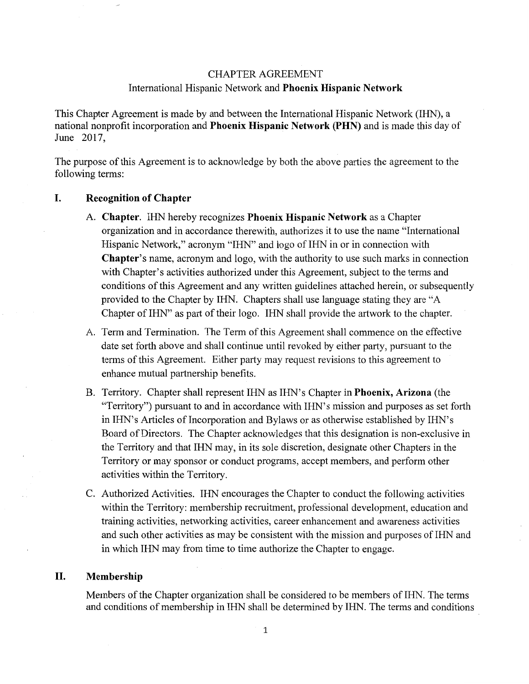## **CHAPTER AGREEMENT** International Hispanic Network and Phoenix Hispanic Network

This Chapter Agreement is made by and between the International Hispanic Network (IHN), a national nonprofit incorporation and Phoenix Hispanic Network (PHN) and is made this day of June 2017,

The purpose of this Agreement is to acknowledge by both the above parties the agreement to the following terms:

#### I. **Recognition of Chapter**

- A. Chapter. IHN hereby recognizes Phoenix Hispanic Network as a Chapter organization and in accordance therewith, authorizes it to use the name "International Hispanic Network," acronym "HN" and logo of IHN in or in connection with **Chapter's name, acronym and logo, with the authority to use such marks in connection** with Chapter's activities authorized under this Agreement, subject to the terms and conditions of this Agreement and any written guidelines attached herein, or subsequently provided to the Chapter by IHN. Chapters shall use language stating they are "A Chapter of IHN" as part of their logo. IHN shall provide the artwork to the chapter.
- A. Term and Termination. The Term of this Agreement shall commence on the effective date set forth above and shall continue until revoked by either party, pursuant to the terms of this Agreement. Either party may request revisions to this agreement to enhance mutual partnership benefits.
- B. Territory. Chapter shall represent IHN as IHN's Chapter in **Phoenix, Arizona** (the "Territory") pursuant to and in accordance with IHN's mission and purposes as set forth in IHN's Articles of Incorporation and Bylaws or as otherwise established by IHN's Board of Directors. The Chapter acknowledges that this designation is non-exclusive in the Territory and that IHN may, in its sole discretion, designate other Chapters in the Territory or may sponsor or conduct programs, accept members, and perform other activities within the Territory.
- C. Authorized Activities. IHN encourages the Chapter to conduct the following activities within the Territory: membership recruitment, professional development, education and training activities, networking activities, career enhancement and awareness activities and such other activities as may be consistent with the mission and purposes of IHN and in which IHN may from time to time authorize the Chapter to engage.

#### II. Membership

Members of the Chapter organization shall be considered to be members of IHN. The terms and conditions of membership in IHN shall be determined by IHN. The terms and conditions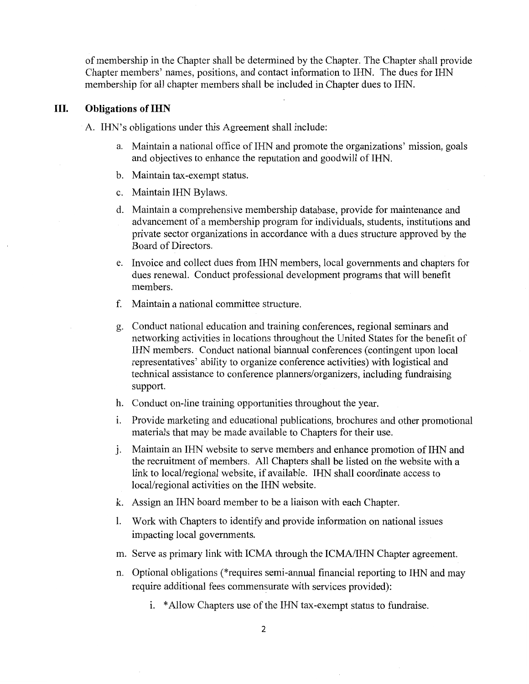of membership in the Chapter shall be determined by the Chapter. The Chapter shall provide Chapter members' names, positions, and contact information to IHN. The dues for IHN membership for all chapter members shall be included in Chapter dues to IHN.

#### Ш. **Obligations of IHN**

A. IHN's obligations under this Agreement shall include:

- a. Maintain a national office of IHN and promote the organizations' mission, goals and objectives to enhance the reputation and goodwill of IHN.
- b. Maintain tax-exempt status.
- c. Maintain IHN Bylaws.
- d. Maintain a comprehensive membership database, provide for maintenance and advancement of a membership program for individuals, students, institutions and private sector organizations in accordance with a dues structure approved by the Board of Directors.
- e. Invoice and collect dues from IHN members, local governments and chapters for dues renewal. Conduct professional development programs that will benefit members.
- f. Maintain a national committee structure.
- g. Conduct national education and training conferences, regional seminars and networking activities in locations throughout the United States for the benefit of IHN members. Conduct national biannual conferences (contingent upon local representatives' ability to organize conference activities) with logistical and technical assistance to conference planners/organizers, including fundraising support.
- h. Conduct on-line training opportunities throughout the year.
- i. Provide marketing and educational publications, brochures and other promotional materials that may be made available to Chapters for their use.
- Maintain an IHN website to serve members and enhance promotion of IHN and j. the recruitment of members. All Chapters shall be listed on the website with a link to local/regional website, if available. IHN shall coordinate access to local/regional activities on the IHN website.
- k. Assign an IHN board member to be a liaison with each Chapter.
- 1. Work with Chapters to identify and provide information on national issues impacting local governments.
- m. Serve as primary link with ICMA through the ICMA/IHN Chapter agreement.
- n. Optional obligations (\*requires semi-annual financial reporting to IHN and may require additional fees commensurate with services provided):
	- i. \*Allow Chapters use of the IHN tax-exempt status to fundraise.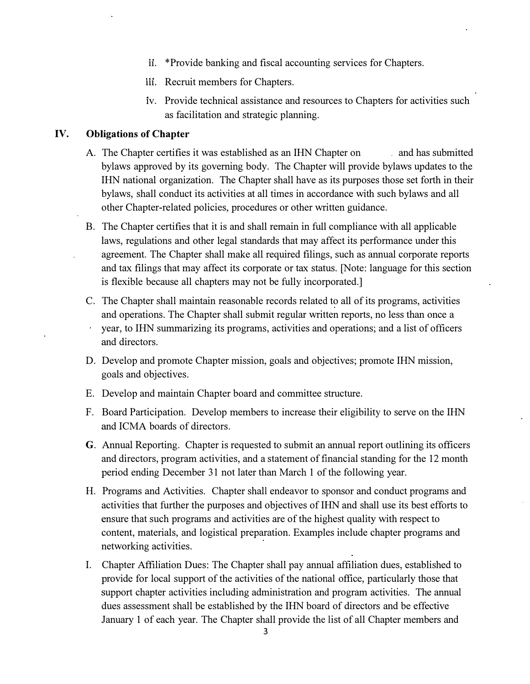- ii. \*Provide banking and fiscal accounting services for Chapters.
- iii. Recruit members for Chapters.
- iv. Provide technical assistance and resources to Chapters for activities such as facilitation and strategic planning.

## **IV.** Obligations of Chapter

- A. The Chapter certifies it was established as an IHN Chapter on and has submitted bylaws approved by its governing body. The Chapter will provide bylaws updates to the IHN national organization. The Chapter shall have as its purposes those set forth in their bylaws, shall conduct its activities at all times in accordance with such bylaws and all other Chapter-related policies, procedures or other written guidance.
- B. The Chapter certifies that it is and shall remain in full compliance with all applicable laws, regulations and other legal standards that may affect its performance under this agreement. The Chapter shall make all required filings, such as annual corporate reports and tax filings that may affect its corporate or tax status. [Note: language for this section is flexible because all chapters may not be fully incorporated.]
- C. The Chapter shall maintain reasonable records related to all of its programs, activities and operations. The Chapter shall submit regular written reports, no less than once a year, to IHN summarizing its programs, activities and operations; and a list of officers and directors.
- D. Develop and promote Chapter mission, goals and objectives; promote IHN mission, goals and objectives.
- E. Develop and maintain Chapter board and committee structure.
- F. Board Participation. Develop members to increase their eligibility to serve on the IHN and ICMA boards of directors.
- **G**. Annual Reporting. Chapter is requested to submit an annual report outlining its officers and directors, program activities, and a statement of financial standing for the 12 month period ending December 31 not later than March 1 of the following year.
- H. Programs and Activities. Chapter shall endeavor to sponsor and conduct programs and activities that further the purposes and objectives of IHN and shall use its best efforts to ensure that such programs and activities are of the highest quality with respect to content, materials, and logistical preparation. Examples include chapter programs and networking activities.
- I. Chapter Affiliation Dues: The Chapter shall pay annual affiliation dues, established to provide for local support of the activities of the national office, particularly those that support chapter activities including administration and program activities. The annual dues assessment shall be established by the IHN board of directors and be effective January 1 of each year. The Chapter shall provide the list of all Chapter members and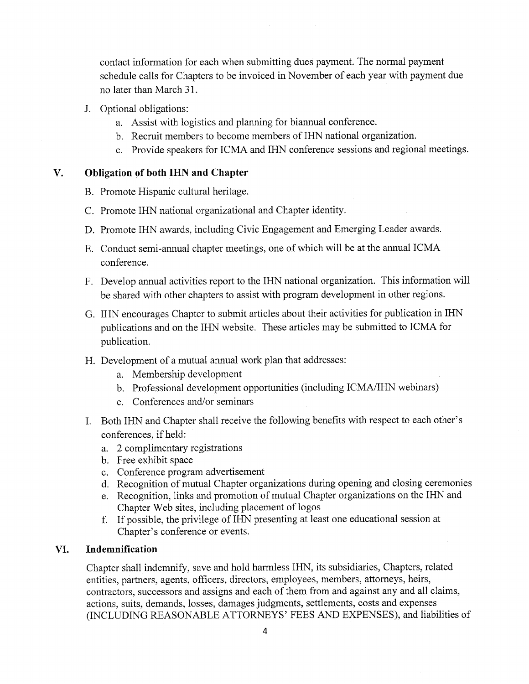contact information for each when submitting dues payment. The normal payment schedule calls for Chapters to be invoiced in November of each year with payment due no later than March 31.

- J. Optional obligations:
	- a. Assist with logistics and planning for biannual conference.
	- b. Recruit members to become members of IHN national organization.
	- c. Provide speakers for ICMA and IHN conference sessions and regional meetings.

#### $\mathbf{V}$ . **Obligation of both IHN and Chapter**

- B. Promote Hispanic cultural heritage.
- C. Promote IHN national organizational and Chapter identity.
- D. Promote IHN awards, including Civic Engagement and Emerging Leader awards.
- E. Conduct semi-annual chapter meetings, one of which will be at the annual ICMA conference.
- F. Develop annual activities report to the IHN national organization. This information will be shared with other chapters to assist with program development in other regions.
- G. IHN encourages Chapter to submit articles about their activities for publication in IHN publications and on the IHN website. These articles may be submitted to ICMA for publication.
- H. Development of a mutual annual work plan that addresses:
	- a. Membership development
	- b. Professional development opportunities (including ICMA/IHN webinars)
	- c. Conferences and/or seminars
- I. Both IHN and Chapter shall receive the following benefits with respect to each other's conferences, if held:
	- a. 2 complimentary registrations
	- b. Free exhibit space
	- c. Conference program advertisement
	- d. Recognition of mutual Chapter organizations during opening and closing ceremonies
	- e. Recognition, links and promotion of mutual Chapter organizations on the IHN and Chapter Web sites, including placement of logos
	- f. If possible, the privilege of IHN presenting at least one educational session at Chapter's conference or events.

#### VI. Indemnification

Chapter shall indemnify, save and hold harmless IHN, its subsidiaries, Chapters, related entities, partners, agents, officers, directors, employees, members, attorneys, heirs, contractors, successors and assigns and each of them from and against any and all claims, actions, suits, demands, losses, damages judgments, settlements, costs and expenses (INCLUDING REASONABLE ATTORNEYS' FEES AND EXPENSES), and liabilities of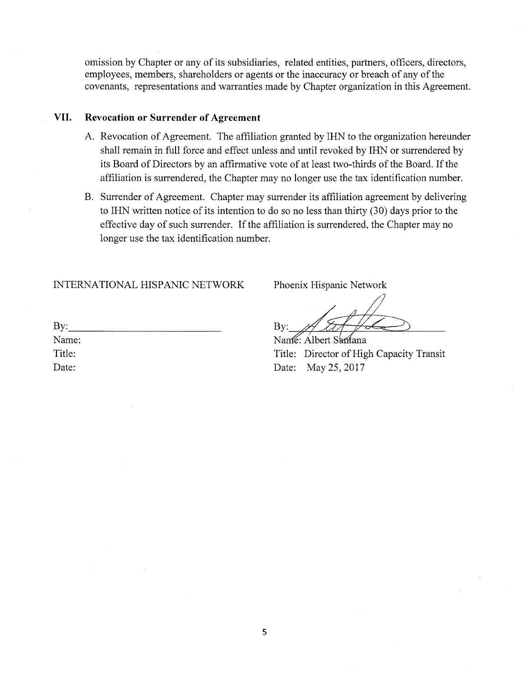omission by Chapter or any of its subsidiaries, related entities, partners, officers, directors, employees, members, shareholders or agents or the inaccuracy or breach of any of the covenants, representations and warranties made by Chapter organization in this Agreement.

#### VII. **Revocation or Surrender of Agreement**

- A. Revocation of Agreement. The affiliation granted by IHN to the organization hereunder shall remain in full force and effect unless and until revoked by IHN or surrendered by its Board of Directors by an affirmative vote of at least two-thirds of the Board. If the affiliation is surrendered, the Chapter may no longer use the tax identification number.
- B. Surrender of Agreement. Chapter may surrender its affiliation agreement by delivering to IHN written notice of its intention to do so no less than thirty (30) days prior to the effective day of such surrender. If the affiliation is surrendered, the Chapter may no longer use the tax identification number.

INTERNATIONAL HISPANIC NETWORK

Phoenix Hispanic Network

 $Bv:$ 

Namé: Albert Samana Title: Director of High Capacity Transit Date: May 25, 2017

| By:    |  |  |
|--------|--|--|
| Name:  |  |  |
| Title: |  |  |
| Date:  |  |  |
|        |  |  |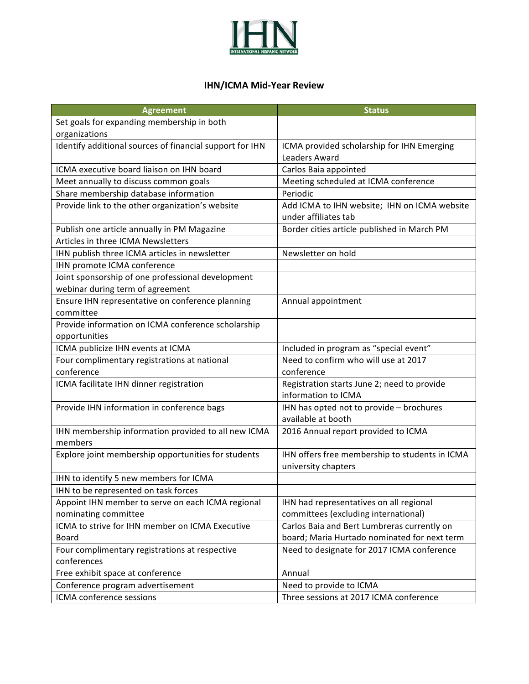

## **IHN/ICMA Mid-Year Review**

| <b>Agreement</b>                                         | <b>Status</b>                                  |
|----------------------------------------------------------|------------------------------------------------|
| Set goals for expanding membership in both               |                                                |
| organizations                                            |                                                |
| Identify additional sources of financial support for IHN | ICMA provided scholarship for IHN Emerging     |
|                                                          | <b>Leaders Award</b>                           |
| ICMA executive board liaison on IHN board                | Carlos Baia appointed                          |
| Meet annually to discuss common goals                    | Meeting scheduled at ICMA conference           |
| Share membership database information                    | Periodic                                       |
| Provide link to the other organization's website         | Add ICMA to IHN website; IHN on ICMA website   |
|                                                          | under affiliates tab                           |
| Publish one article annually in PM Magazine              | Border cities article published in March PM    |
| Articles in three ICMA Newsletters                       |                                                |
| IHN publish three ICMA articles in newsletter            | Newsletter on hold                             |
| IHN promote ICMA conference                              |                                                |
| Joint sponsorship of one professional development        |                                                |
| webinar during term of agreement                         |                                                |
| Ensure IHN representative on conference planning         | Annual appointment                             |
| committee                                                |                                                |
| Provide information on ICMA conference scholarship       |                                                |
| opportunities                                            |                                                |
| ICMA publicize IHN events at ICMA                        | Included in program as "special event"         |
| Four complimentary registrations at national             | Need to confirm who will use at 2017           |
| conference                                               | conference                                     |
| ICMA facilitate IHN dinner registration                  | Registration starts June 2; need to provide    |
|                                                          | information to ICMA                            |
| Provide IHN information in conference bags               | IHN has opted not to provide - brochures       |
|                                                          | available at booth                             |
| IHN membership information provided to all new ICMA      | 2016 Annual report provided to ICMA            |
| members                                                  |                                                |
| Explore joint membership opportunities for students      | IHN offers free membership to students in ICMA |
|                                                          | university chapters                            |
| IHN to identify 5 new members for ICMA                   |                                                |
| IHN to be represented on task forces                     |                                                |
| Appoint IHN member to serve on each ICMA regional        | IHN had representatives on all regional        |
| nominating committee                                     | committees (excluding international)           |
| ICMA to strive for IHN member on ICMA Executive          | Carlos Baia and Bert Lumbreras currently on    |
| Board                                                    | board; Maria Hurtado nominated for next term   |
| Four complimentary registrations at respective           | Need to designate for 2017 ICMA conference     |
| conferences                                              |                                                |
| Free exhibit space at conference                         | Annual                                         |
| Conference program advertisement                         | Need to provide to ICMA                        |
| ICMA conference sessions                                 | Three sessions at 2017 ICMA conference         |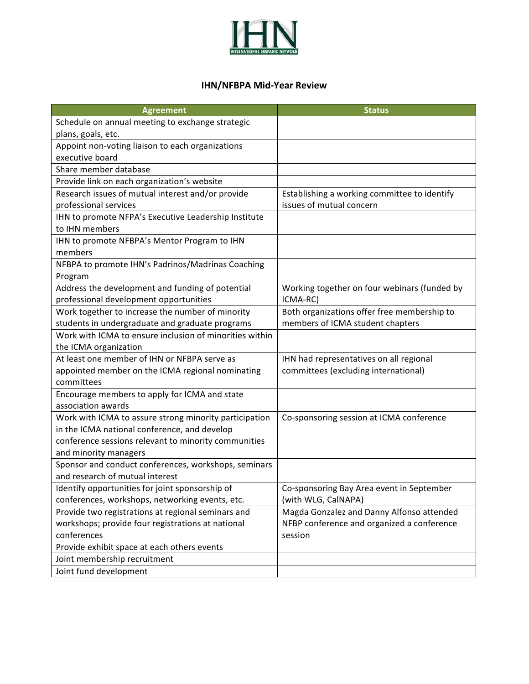

## **IHN/NFBPA Mid-Year!Review**

| <b>Agreement</b>                                        | <b>Status</b>                                |
|---------------------------------------------------------|----------------------------------------------|
| Schedule on annual meeting to exchange strategic        |                                              |
| plans, goals, etc.                                      |                                              |
| Appoint non-voting liaison to each organizations        |                                              |
| executive board                                         |                                              |
| Share member database                                   |                                              |
| Provide link on each organization's website             |                                              |
| Research issues of mutual interest and/or provide       | Establishing a working committee to identify |
| professional services                                   | issues of mutual concern                     |
| IHN to promote NFPA's Executive Leadership Institute    |                                              |
| to IHN members                                          |                                              |
| IHN to promote NFBPA's Mentor Program to IHN            |                                              |
| members                                                 |                                              |
| NFBPA to promote IHN's Padrinos/Madrinas Coaching       |                                              |
| Program                                                 |                                              |
| Address the development and funding of potential        | Working together on four webinars (funded by |
| professional development opportunities                  | ICMA-RC)                                     |
| Work together to increase the number of minority        | Both organizations offer free membership to  |
| students in undergraduate and graduate programs         | members of ICMA student chapters             |
| Work with ICMA to ensure inclusion of minorities within |                                              |
| the ICMA organization                                   |                                              |
| At least one member of IHN or NFBPA serve as            | IHN had representatives on all regional      |
| appointed member on the ICMA regional nominating        | committees (excluding international)         |
| committees                                              |                                              |
| Encourage members to apply for ICMA and state           |                                              |
| association awards                                      |                                              |
| Work with ICMA to assure strong minority participation  | Co-sponsoring session at ICMA conference     |
| in the ICMA national conference, and develop            |                                              |
| conference sessions relevant to minority communities    |                                              |
| and minority managers                                   |                                              |
| Sponsor and conduct conferences, workshops, seminars    |                                              |
| and research of mutual interest                         |                                              |
| Identify opportunities for joint sponsorship of         | Co-sponsoring Bay Area event in September    |
| conferences, workshops, networking events, etc.         | (with WLG, CalNAPA)                          |
| Provide two registrations at regional seminars and      | Magda Gonzalez and Danny Alfonso attended    |
| workshops; provide four registrations at national       | NFBP conference and organized a conference   |
| conferences                                             | session                                      |
| Provide exhibit space at each others events             |                                              |
| Joint membership recruitment                            |                                              |
| Joint fund development                                  |                                              |